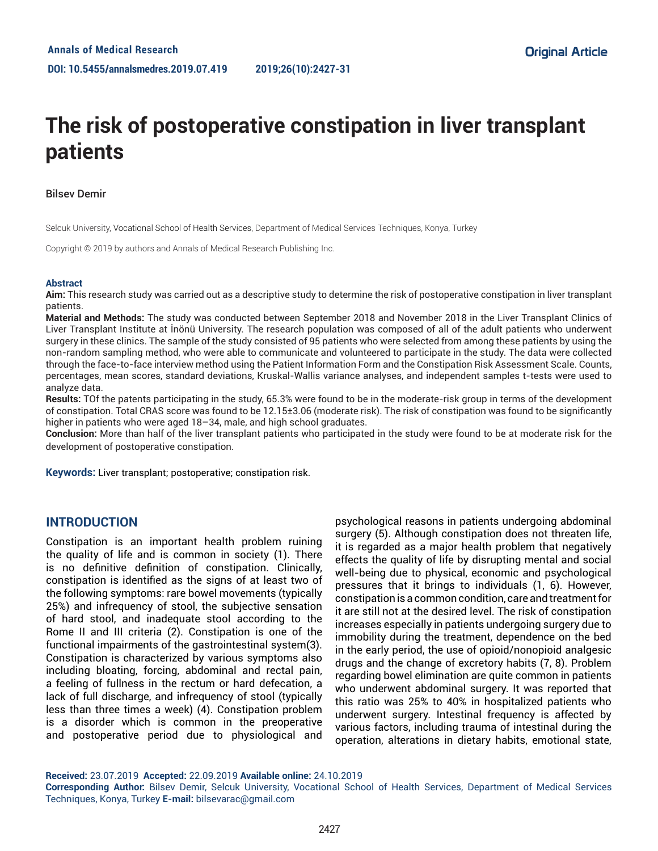# **The risk of postoperative constipation in liver transplant patients**

## Bilsev Demir

Selcuk University, Vocational School of Health Services, Department of Medical Services Techniques, Konya, Turkey

Copyright © 2019 by authors and Annals of Medical Research Publishing Inc.

#### **Abstract**

**Aim:** This research study was carried out as a descriptive study to determine the risk of postoperative constipation in liver transplant patients.

**Material and Methods:** The study was conducted between September 2018 and November 2018 in the Liver Transplant Clinics of Liver Transplant Institute at İnönü University. The research population was composed of all of the adult patients who underwent surgery in these clinics. The sample of the study consisted of 95 patients who were selected from among these patients by using the non-random sampling method, who were able to communicate and volunteered to participate in the study. The data were collected through the face-to-face interview method using the Patient Information Form and the Constipation Risk Assessment Scale. Counts, percentages, mean scores, standard deviations, Kruskal-Wallis variance analyses, and independent samples t-tests were used to analyze data.

**Results:** TOf the patents participating in the study, 65.3% were found to be in the moderate-risk group in terms of the development of constipation. Total CRAS score was found to be 12.15±3.06 (moderate risk). The risk of constipation was found to be significantly higher in patients who were aged 18–34, male, and high school graduates.

**Conclusion:** More than half of the liver transplant patients who participated in the study were found to be at moderate risk for the development of postoperative constipation.

**Keywords:** Liver transplant; postoperative; constipation risk.

# **INTRODUCTION**

Constipation is an important health problem ruining the quality of life and is common in society (1). There is no definitive definition of constipation. Clinically, constipation is identified as the signs of at least two of the following symptoms: rare bowel movements (typically 25%) and infrequency of stool, the subjective sensation of hard stool, and inadequate stool according to the Rome II and III criteria (2). Constipation is one of the functional impairments of the gastrointestinal system(3). Constipation is characterized by various symptoms also including bloating, forcing, abdominal and rectal pain, a feeling of fullness in the rectum or hard defecation, a lack of full discharge, and infrequency of stool (typically less than three times a week) (4). Constipation problem is a disorder which is common in the preoperative and postoperative period due to physiological and

psychological reasons in patients undergoing abdominal surgery (5). Although constipation does not threaten life, it is regarded as a major health problem that negatively effects the quality of life by disrupting mental and social well-being due to physical, economic and psychological pressures that it brings to individuals (1, 6). However, constipation is a common condition, care and treatment for it are still not at the desired level. The risk of constipation increases especially in patients undergoing surgery due to immobility during the treatment, dependence on the bed in the early period, the use of opioid/nonopioid analgesic drugs and the change of excretory habits (7, 8). Problem regarding bowel elimination are quite common in patients who underwent abdominal surgery. It was reported that this ratio was 25% to 40% in hospitalized patients who underwent surgery. Intestinal frequency is affected by various factors, including trauma of intestinal during the operation, alterations in dietary habits, emotional state,

**Received:** 23.07.2019 **Accepted:** 22.09.2019 **Available online:** 24.10.2019

**Corresponding Author:** Bilsev Demir, Selcuk University, Vocational School of Health Services, Department of Medical Services Techniques, Konya, Turkey **E-mail:** bilsevarac@gmail.com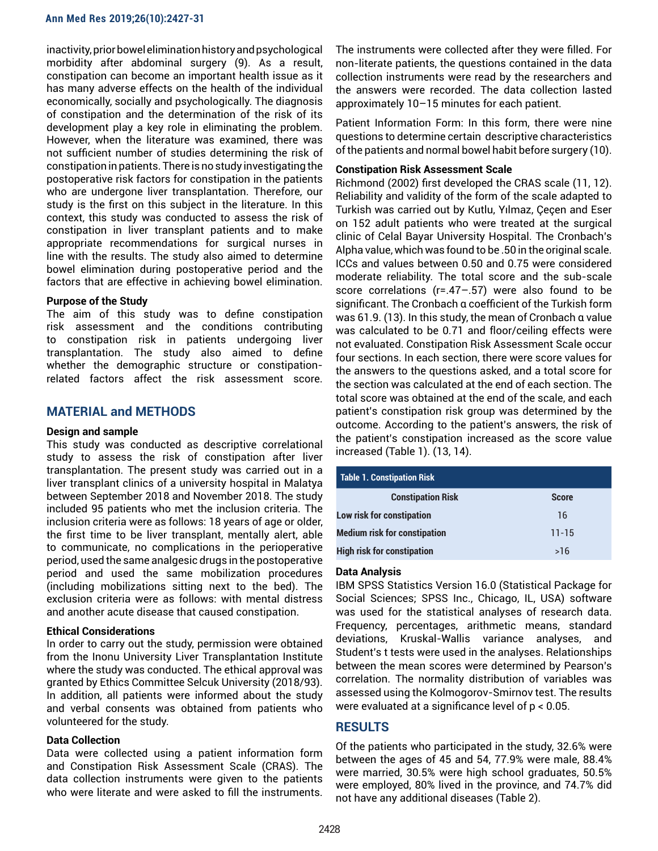inactivity, prior bowel elimination history and psychological morbidity after abdominal surgery (9). As a result, constipation can become an important health issue as it has many adverse effects on the health of the individual economically, socially and psychologically. The diagnosis of constipation and the determination of the risk of its development play a key role in eliminating the problem. However, when the literature was examined, there was not sufficient number of studies determining the risk of constipation in patients. There is no study investigating the postoperative risk factors for constipation in the patients who are undergone liver transplantation. Therefore, our study is the first on this subject in the literature. In this context, this study was conducted to assess the risk of constipation in liver transplant patients and to make appropriate recommendations for surgical nurses in line with the results. The study also aimed to determine bowel elimination during postoperative period and the factors that are effective in achieving bowel elimination.

## **Purpose of the Study**

The aim of this study was to define constipation risk assessment and the conditions contributing to constipation risk in patients undergoing liver transplantation. The study also aimed to define whether the demographic structure or constipationrelated factors affect the risk assessment score.

# **MATERIAL and METHODS**

## **Design and sample**

This study was conducted as descriptive correlational study to assess the risk of constipation after liver transplantation. The present study was carried out in a liver transplant clinics of a university hospital in Malatya between September 2018 and November 2018. The study included 95 patients who met the inclusion criteria. The inclusion criteria were as follows: 18 years of age or older, the first time to be liver transplant, mentally alert, able to communicate, no complications in the perioperative period, used the same analgesic drugs in the postoperative period and used the same mobilization procedures (including mobilizations sitting next to the bed). The exclusion criteria were as follows: with mental distress and another acute disease that caused constipation.

## **Ethical Considerations**

In order to carry out the study, permission were obtained from the Inonu University Liver Transplantation Institute where the study was conducted. The ethical approval was granted by Ethics Committee Selcuk University (2018/93). In addition, all patients were informed about the study and verbal consents was obtained from patients who volunteered for the study.

#### **Data Collection**

Data were collected using a patient information form and Constipation Risk Assessment Scale (CRAS). The data collection instruments were given to the patients who were literate and were asked to fill the instruments. The instruments were collected after they were filled. For non-literate patients, the questions contained in the data collection instruments were read by the researchers and the answers were recorded. The data collection lasted approximately 10–15 minutes for each patient.

Patient Information Form: In this form, there were nine questions to determine certain descriptive characteristics of the patients and normal bowel habit before surgery (10).

#### **Constipation Risk Assessment Scale**

Richmond (2002) first developed the CRAS scale (11, 12). Reliability and validity of the form of the scale adapted to Turkish was carried out by Kutlu, Yılmaz, Çeçen and Eser on 152 adult patients who were treated at the surgical clinic of Celal Bayar University Hospital. The Cronbach's Alpha value, which was found to be .50 in the original scale. ICCs and values between 0.50 and 0.75 were considered moderate reliability. The total score and the sub-scale score correlations (r=.47–.57) were also found to be significant. The Cronbach α coefficient of the Turkish form was 61.9. (13). In this study, the mean of Cronbach α value was calculated to be 0.71 and floor/ceiling effects were not evaluated. Constipation Risk Assessment Scale occur four sections. In each section, there were score values for the answers to the questions asked, and a total score for the section was calculated at the end of each section. The total score was obtained at the end of the scale, and each patient's constipation risk group was determined by the outcome. According to the patient's answers, the risk of the patient's constipation increased as the score value increased (Table 1). (13, 14).

| Table 1. Constipation Risk          |              |  |  |
|-------------------------------------|--------------|--|--|
| <b>Constipation Risk</b>            | <b>Score</b> |  |  |
| Low risk for constipation           | 16           |  |  |
| <b>Medium risk for constipation</b> | $11 - 15$    |  |  |
| <b>High risk for constipation</b>   | >16          |  |  |

## **Data Analysis**

IBM SPSS Statistics Version 16.0 (Statistical Package for Social Sciences; SPSS Inc., Chicago, IL, USA) software was used for the statistical analyses of research data. Frequency, percentages, arithmetic means, standard deviations, Kruskal-Wallis variance analyses, and Student's t tests were used in the analyses. Relationships between the mean scores were determined by Pearson's correlation. The normality distribution of variables was assessed using the Kolmogorov-Smirnov test. The results were evaluated at a significance level of p < 0.05.

# **RESULTS**

Of the patients who participated in the study, 32.6% were between the ages of 45 and 54, 77.9% were male, 88.4% were married, 30.5% were high school graduates, 50.5% were employed, 80% lived in the province, and 74.7% did not have any additional diseases (Table 2).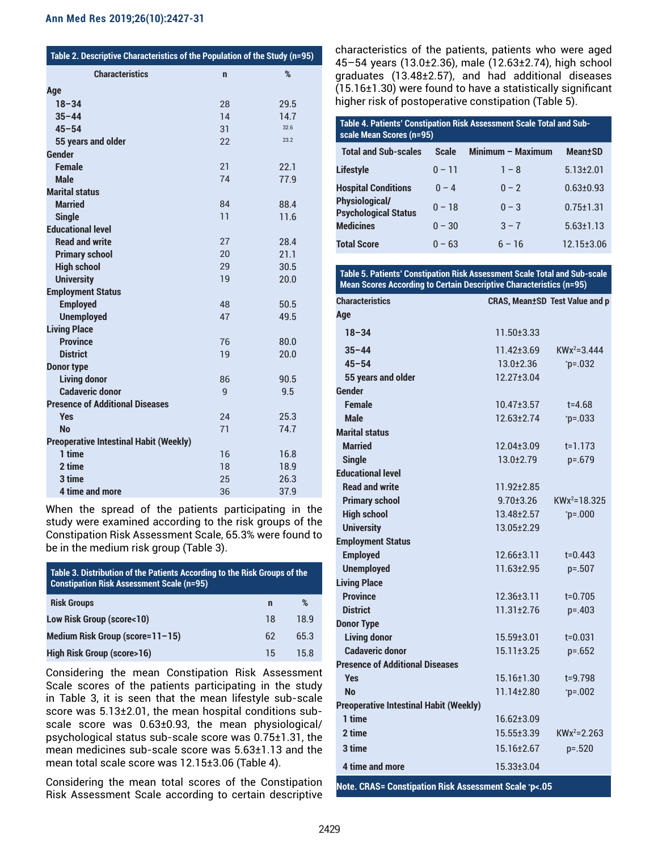| Table 2. Descriptive Characteristics of the Population of the Study (n=95) |              |      |  |
|----------------------------------------------------------------------------|--------------|------|--|
| <b>Characteristics</b>                                                     | $\mathbf n$  | %    |  |
| Age                                                                        |              |      |  |
| $18 - 34$                                                                  | 28           | 29.5 |  |
| $35 - 44$                                                                  | 14           | 14.7 |  |
| $45 - 54$                                                                  | 31           | 32.6 |  |
| 55 years and older                                                         | 22           | 23.2 |  |
| <b>Gender</b>                                                              |              |      |  |
| <b>Female</b>                                                              | 21           | 22.1 |  |
| <b>Male</b>                                                                | 74           | 77.9 |  |
| <b>Marital status</b>                                                      |              |      |  |
| <b>Married</b>                                                             | 84           | 88.4 |  |
| <b>Single</b>                                                              | 11           | 11.6 |  |
| <b>Educational level</b>                                                   |              |      |  |
| <b>Read and write</b>                                                      | 27           | 28.4 |  |
| <b>Primary school</b>                                                      | 20           | 21.1 |  |
| <b>High school</b>                                                         | 29           | 30.5 |  |
| <b>University</b>                                                          | 19           | 20.0 |  |
| <b>Employment Status</b>                                                   |              |      |  |
| <b>Employed</b>                                                            | 48           | 50.5 |  |
| <b>Unemployed</b>                                                          | 47           | 49.5 |  |
| <b>Living Place</b>                                                        |              |      |  |
| <b>Province</b>                                                            | 76           | 80.0 |  |
| <b>District</b>                                                            | 19           | 20.0 |  |
| <b>Donor type</b>                                                          |              |      |  |
| <b>Living donor</b>                                                        | 86           | 90.5 |  |
| <b>Cadaveric donor</b>                                                     | $\mathsf{q}$ | 9.5  |  |
| <b>Presence of Additional Diseases</b>                                     |              |      |  |
| <b>Yes</b>                                                                 | 24           | 25.3 |  |
| <b>No</b>                                                                  | 71           | 74.7 |  |
| <b>Preoperative Intestinal Habit (Weekly)</b>                              |              |      |  |
| 1 time                                                                     | 16           | 16.8 |  |
| 2 time                                                                     | 18           | 18.9 |  |
| 3 time                                                                     | 25           | 26.3 |  |
| 4 time and more                                                            | 36           | 37.9 |  |

When the spread of the patients participating in the study were examined according to the risk groups of the Constipation Risk Assessment Scale, 65.3% were found to be in the medium risk group (Table 3).

| Table 3. Distribution of the Patients According to the Risk Groups of the<br><b>Constipation Risk Assessment Scale (n=95)</b> |    |      |  |
|-------------------------------------------------------------------------------------------------------------------------------|----|------|--|
| <b>Risk Groups</b>                                                                                                            | n  | %    |  |
| <b>Low Risk Group (score&lt;10)</b>                                                                                           | 18 | 18 9 |  |
| Medium Risk Group (score= $11-15$ )                                                                                           | 62 | 65.3 |  |
| High Risk Group (score>16)                                                                                                    | 15 | 158  |  |

Considering the mean Constipation Risk Assessment Scale scores of the patients participating in the study in Table 3, it is seen that the mean lifestyle sub-scale score was 5.13±2.01, the mean hospital conditions subscale score was 0.63±0.93, the mean physiological/ psychological status sub-scale score was 0.75±1.31, the mean medicines sub-scale score was 5.63±1.13 and the mean total scale score was 12.15±3.06 (Table 4).

Considering the mean total scores of the Constipation Risk Assessment Scale according to certain descriptive characteristics of the patients, patients who were aged 45–54 years (13.0±2.36), male (12.63±2.74), high school graduates (13.48±2.57), and had additional diseases (15.16±1.30) were found to have a statistically significant higher risk of postoperative constipation (Table 5).

| Table 4. Patients' Constipation Risk Assessment Scale Total and Sub-<br>scale Mean Scores (n=95) |              |                   |                             |  |
|--------------------------------------------------------------------------------------------------|--------------|-------------------|-----------------------------|--|
| <b>Total and Sub-scales</b>                                                                      | <b>Scale</b> | Minimum - Maximum | <b>Mean</b> <sup>t</sup> SD |  |
| <b>Lifestyle</b>                                                                                 | $0 - 11$     | $1 - 8$           | $5.13 \pm 2.01$             |  |
| <b>Hospital Conditions</b>                                                                       | $0 - 4$      | $0 - 2$           | $0.63 \pm 0.93$             |  |
| <b>Physiological/</b><br><b>Psychological Status</b>                                             | $0 - 18$     | $0 - 3$           | $0.75 \pm 1.31$             |  |
| <b>Medicines</b>                                                                                 | $0 - 30$     | $3 - 7$           | $5.63 \pm 1.13$             |  |
| <b>Total Score</b>                                                                               | $0 - 63$     | $6 - 16$          | $12.15 \pm 3.06$            |  |

**Table 5. Patients' Constipation Risk Assessment Scale Total and Sub-scale Mean Scores According to Certain Descriptive Characteristics (n=95)**

| <b>Characteristics</b>                        | <b>CRAS, Mean±SD Test Value and p</b> |                  |
|-----------------------------------------------|---------------------------------------|------------------|
| Age                                           |                                       |                  |
| $18 - 34$                                     | 11.50±3.33                            |                  |
| $35 - 44$                                     | $11.42 \pm 3.69$                      | $KWx^2 = 3.444$  |
| $45 - 54$                                     | $13.0 \pm 2.36$                       | $p = 0.032$      |
| 55 years and older                            | 12.27±3.04                            |                  |
| <b>Gender</b>                                 |                                       |                  |
| <b>Female</b>                                 | $10.47 \pm 3.57$                      | $t = 4.68$       |
| <b>Male</b>                                   | $12.63 \pm 2.74$                      | $^*p = 0.033$    |
| <b>Marital status</b>                         |                                       |                  |
| <b>Married</b>                                | 12.04±3.09                            | $t = 1.173$      |
| <b>Single</b>                                 | $13.0 \pm 2.79$                       | p=.679           |
| <b>Educational level</b>                      |                                       |                  |
| <b>Read and write</b>                         | 11.92±2.85                            |                  |
| <b>Primary school</b>                         | $9.70 \pm 3.26$                       | $KWx^2 = 18.325$ |
| <b>High school</b>                            | 13.48±2.57                            | $^*p = .000$     |
| <b>University</b>                             | 13.05±2.29                            |                  |
| <b>Employment Status</b>                      |                                       |                  |
| <b>Employed</b>                               | $12.66 \pm 3.11$                      | $t = 0.443$      |
| <b>Unemployed</b>                             | 11.63±2.95                            | $p = 0.507$      |
| <b>Living Place</b>                           |                                       |                  |
| <b>Province</b>                               | $12.36 \pm 3.11$                      | $t = 0.705$      |
| <b>District</b>                               | $11.31 \pm 2.76$                      | $p = 0.403$      |
| <b>Donor Type</b>                             |                                       |                  |
| <b>Living donor</b>                           | $15.59 \pm 3.01$                      | $t = 0.031$      |
| <b>Cadaveric donor</b>                        | 15.11±3.25                            | $p = 652$        |
| <b>Presence of Additional Diseases</b>        |                                       |                  |
| <b>Yes</b>                                    | $15.16 \pm 1.30$                      | $t = 9.798$      |
| <b>No</b>                                     | 11.14±2.80                            | $^*p = 0.002$    |
| <b>Preoperative Intestinal Habit (Weekly)</b> |                                       |                  |
| 1 time                                        | 16.62±3.09                            |                  |
| 2 time                                        | $15.55 \pm 3.39$                      | $KWx^2 = 2.263$  |
| 3 time                                        | 15.16±2.67                            | $p = 0.520$      |
| 4 time and more                               | 15.33±3.04                            |                  |
|                                               |                                       |                  |

**Note. CRAS= Constipation Risk Assessment Scale \* p<.05**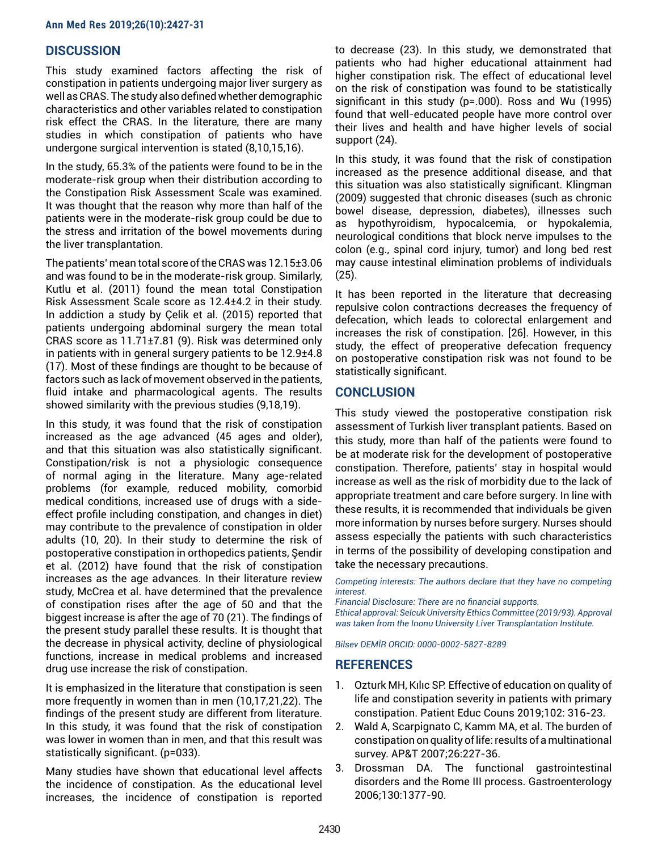# **DISCUSSION**

This study examined factors affecting the risk of constipation in patients undergoing major liver surgery as well as CRAS. The study also defined whether demographic characteristics and other variables related to constipation risk effect the CRAS. In the literature, there are many studies in which constipation of patients who have undergone surgical intervention is stated (8,10,15,16).

In the study, 65.3% of the patients were found to be in the moderate-risk group when their distribution according to the Constipation Risk Assessment Scale was examined. It was thought that the reason why more than half of the patients were in the moderate-risk group could be due to the stress and irritation of the bowel movements during the liver transplantation.

The patients' mean total score of the CRAS was 12.15±3.06 and was found to be in the moderate-risk group. Similarly, Kutlu et al. (2011) found the mean total Constipation Risk Assessment Scale score as 12.4±4.2 in their study. In addiction a study by Çelik et al. (2015) reported that patients undergoing abdominal surgery the mean total CRAS score as 11.71±7.81 (9). Risk was determined only in patients with in general surgery patients to be 12.9±4.8 (17). Most of these findings are thought to be because of factors such as lack of movement observed in the patients, fluid intake and pharmacological agents. The results showed similarity with the previous studies (9,18,19).

In this study, it was found that the risk of constipation increased as the age advanced (45 ages and older), and that this situation was also statistically significant. Constipation/risk is not a physiologic consequence of normal aging in the literature. Many age-related problems (for example, reduced mobility, comorbid medical conditions, increased use of drugs with a sideeffect profile including constipation, and changes in diet) may contribute to the prevalence of constipation in older adults (10, 20). In their study to determine the risk of postoperative constipation in orthopedics patients, Şendir et al. (2012) have found that the risk of constipation increases as the age advances. In their literature review study, McCrea et al. have determined that the prevalence of constipation rises after the age of 50 and that the biggest increase is after the age of 70 (21). The findings of the present study parallel these results. It is thought that the decrease in physical activity, decline of physiological functions, increase in medical problems and increased drug use increase the risk of constipation.

It is emphasized in the literature that constipation is seen more frequently in women than in men (10,17,21,22). The findings of the present study are different from literature. In this study, it was found that the risk of constipation was lower in women than in men, and that this result was statistically significant. (p=033).

Many studies have shown that educational level affects the incidence of constipation. As the educational level increases, the incidence of constipation is reported to decrease (23). In this study, we demonstrated that patients who had higher educational attainment had higher constipation risk. The effect of educational level on the risk of constipation was found to be statistically significant in this study (p=.000). Ross and Wu (1995) found that well-educated people have more control over their lives and health and have higher levels of social support (24).

In this study, it was found that the risk of constipation increased as the presence additional disease, and that this situation was also statistically significant. Klingman (2009) suggested that chronic diseases (such as chronic bowel disease, depression, diabetes), illnesses such as hypothyroidism, hypocalcemia, or hypokalemia, neurological conditions that block nerve impulses to the colon (e.g., spinal cord injury, tumor) and long bed rest may cause intestinal elimination problems of individuals (25).

It has been reported in the literature that decreasing repulsive colon contractions decreases the frequency of defecation, which leads to colorectal enlargement and increases the risk of constipation. [26]. However, in this study, the effect of preoperative defecation frequency on postoperative constipation risk was not found to be statistically significant.

# **CONCLUSION**

This study viewed the postoperative constipation risk assessment of Turkish liver transplant patients. Based on this study, more than half of the patients were found to be at moderate risk for the development of postoperative constipation. Therefore, patients' stay in hospital would increase as well as the risk of morbidity due to the lack of appropriate treatment and care before surgery. In line with these results, it is recommended that individuals be given more information by nurses before surgery. Nurses should assess especially the patients with such characteristics in terms of the possibility of developing constipation and take the necessary precautions.

*Competing interests: The authors declare that they have no competing interest.* 

*Financial Disclosure: There are no financial supports. Ethical approval: Selcuk University Ethics Committee (2019/93). Approval was taken from the Inonu University Liver Transplantation Institute.*

*Bilsev DEMİR ORCID: 0000-0002-5827-8289*

# **REFERENCES**

- 1. Ozturk MH, Kılıc SP. Effective of education on quality of life and constipation severity in patients with primary constipation. Patient Educ Couns 2019;102: 316-23.
- 2. Wald A, Scarpignato C, Kamm MA, et al. The burden of constipation on quality of life: results of a multinational survey. AP&T 2007;26:227-36.
- 3. Drossman DA. The functional gastrointestinal disorders and the Rome III process. Gastroenterology 2006;130:1377-90.